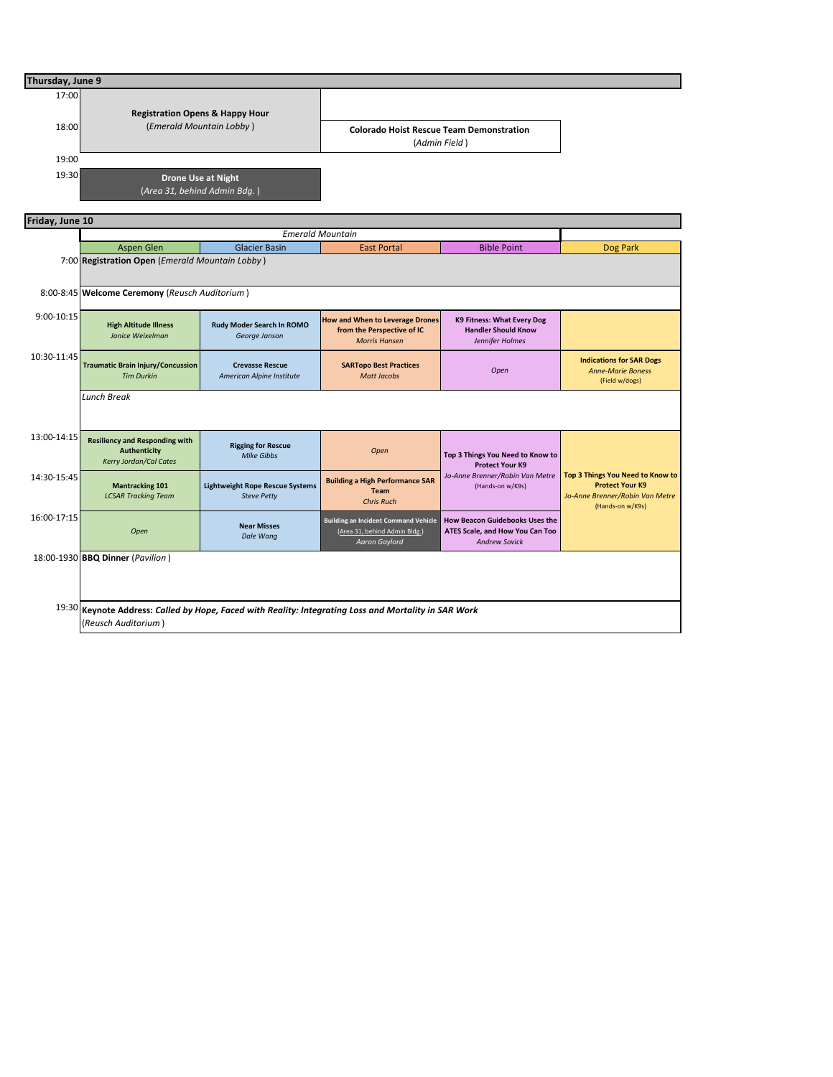| Thursday, June 9 |                                                                                                                              |                                                              |                                                                                                      |                                                                                                  |                                                                                                                   |  |  |  |  |  |  |
|------------------|------------------------------------------------------------------------------------------------------------------------------|--------------------------------------------------------------|------------------------------------------------------------------------------------------------------|--------------------------------------------------------------------------------------------------|-------------------------------------------------------------------------------------------------------------------|--|--|--|--|--|--|
| 17:00            | <b>Registration Opens &amp; Happy Hour</b>                                                                                   |                                                              |                                                                                                      |                                                                                                  |                                                                                                                   |  |  |  |  |  |  |
| 18:00            | (Emerald Mountain Lobby)                                                                                                     |                                                              | <b>Colorado Hoist Rescue Team Demonstration</b><br>(Admin Field)                                     |                                                                                                  |                                                                                                                   |  |  |  |  |  |  |
| 19:00            |                                                                                                                              |                                                              |                                                                                                      |                                                                                                  |                                                                                                                   |  |  |  |  |  |  |
| 19:30            | <b>Drone Use at Night</b><br>(Area 31, behind Admin Bdg.)                                                                    |                                                              |                                                                                                      |                                                                                                  |                                                                                                                   |  |  |  |  |  |  |
|                  | Friday, June 10                                                                                                              |                                                              |                                                                                                      |                                                                                                  |                                                                                                                   |  |  |  |  |  |  |
|                  |                                                                                                                              |                                                              |                                                                                                      |                                                                                                  |                                                                                                                   |  |  |  |  |  |  |
|                  | <b>Aspen Glen</b>                                                                                                            | <b>Glacier Basin</b>                                         | <b>East Portal</b>                                                                                   | <b>Bible Point</b>                                                                               | Dog Park                                                                                                          |  |  |  |  |  |  |
|                  | 7:00 Registration Open (Emerald Mountain Lobby)                                                                              |                                                              |                                                                                                      |                                                                                                  |                                                                                                                   |  |  |  |  |  |  |
|                  | 8:00-8:45 Welcome Ceremony (Reusch Auditorium)                                                                               |                                                              |                                                                                                      |                                                                                                  |                                                                                                                   |  |  |  |  |  |  |
| 9:00-10:15       | <b>High Altitude Illness</b><br>Janice Weixelman                                                                             | Rudy Moder Search In ROMO<br>George Janson                   | <b>How and When to Leverage Drones</b><br>from the Perspective of IC<br><b>Morris Hansen</b>         | K9 Fitness: What Every Dog<br><b>Handler Should Know</b><br>Jennifer Holmes                      |                                                                                                                   |  |  |  |  |  |  |
| 10:30-11:45      | <b>Traumatic Brain Injury/Concussion</b><br><b>Tim Durkin</b>                                                                | <b>Crevasse Rescue</b><br>American Alpine Institute          | <b>SARTopo Best Practices</b><br><b>Matt Jacobs</b>                                                  | Open                                                                                             | <b>Indications for SAR Dogs</b><br><b>Anne-Marie Boness</b><br>(Field w/dogs)                                     |  |  |  |  |  |  |
|                  | Lunch Break                                                                                                                  |                                                              |                                                                                                      |                                                                                                  |                                                                                                                   |  |  |  |  |  |  |
| 13:00-14:15      | <b>Resiliency and Responding with</b><br><b>Authenticity</b><br>Kerry Jordan/Cal Cates                                       | <b>Rigging for Rescue</b><br><b>Mike Gibbs</b>               | Open                                                                                                 | Top 3 Things You Need to Know to<br><b>Protect Your K9</b>                                       | Top 3 Things You Need to Know to<br><b>Protect Your K9</b><br>Jo-Anne Brenner/Robin Van Metre<br>(Hands-on w/K9s) |  |  |  |  |  |  |
| 14:30-15:45      | <b>Mantracking 101</b><br><b>LCSAR Tracking Team</b>                                                                         | <b>Lightweight Rope Rescue Systems</b><br><b>Steve Petty</b> | <b>Building a High Performance SAR</b><br><b>Team</b><br><b>Chris Ruch</b>                           | Jo-Anne Brenner/Robin Van Metre<br>(Hands-on w/K9s)                                              |                                                                                                                   |  |  |  |  |  |  |
| 16:00-17:15      | Open                                                                                                                         | <b>Near Misses</b><br>Dale Wang                              | <b>Building an Incident Command Vehicle</b><br>(Area 31, behind Admin Bldg.)<br><b>Aaron Gaylord</b> | <b>How Beacon Guidebooks Uses the</b><br>ATES Scale, and How You Can Too<br><b>Andrew Sovick</b> |                                                                                                                   |  |  |  |  |  |  |
|                  | 18:00-1930 BBQ Dinner (Pavilion)                                                                                             |                                                              |                                                                                                      |                                                                                                  |                                                                                                                   |  |  |  |  |  |  |
|                  | 19:30 Keynote Address: Called by Hope, Faced with Reality: Integrating Loss and Mortality in SAR Work<br>(Reusch Auditorium) |                                                              |                                                                                                      |                                                                                                  |                                                                                                                   |  |  |  |  |  |  |